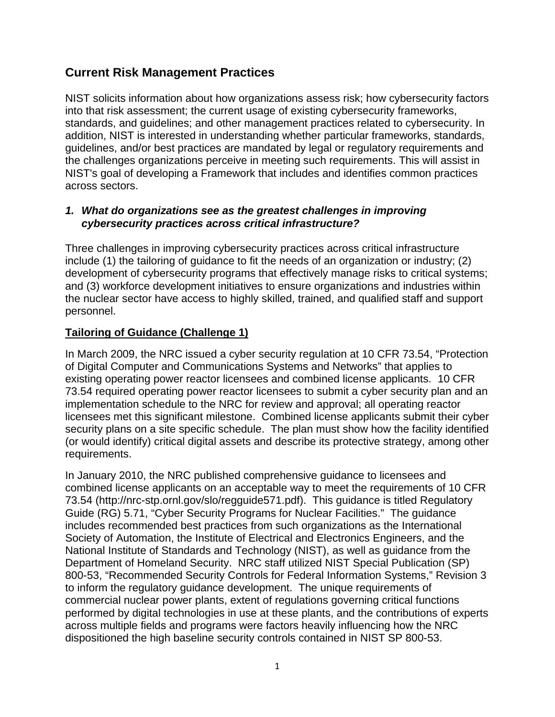# **Current Risk Management Practices**

NIST solicits information about how organizations assess risk; how cybersecurity factors into that risk assessment; the current usage of existing cybersecurity frameworks, standards, and guidelines; and other management practices related to cybersecurity. In addition, NIST is interested in understanding whether particular frameworks, standards, guidelines, and/or best practices are mandated by legal or regulatory requirements and the challenges organizations perceive in meeting such requirements. This will assist in NIST's goal of developing a Framework that includes and identifies common practices across sectors.

### *1. What do organizations see as the greatest challenges in improving cybersecurity practices across critical infrastructure?*

Three challenges in improving cybersecurity practices across critical infrastructure include (1) the tailoring of guidance to fit the needs of an organization or industry; (2) development of cybersecurity programs that effectively manage risks to critical systems; and (3) workforce development initiatives to ensure organizations and industries within the nuclear sector have access to highly skilled, trained, and qualified staff and support personnel.

# **Tailoring of Guidance (Challenge 1)**

In March 2009, the NRC issued a cyber security regulation at 10 CFR 73.54, "Protection of Digital Computer and Communications Systems and Networks" that applies to existing operating power reactor licensees and combined license applicants. 10 CFR 73.54 required operating power reactor licensees to submit a cyber security plan and an implementation schedule to the NRC for review and approval; all operating reactor licensees met this significant milestone. Combined license applicants submit their cyber security plans on a site specific schedule. The plan must show how the facility identified (or would identify) critical digital assets and describe its protective strategy, among other requirements.

In January 2010, the NRC published comprehensive guidance to licensees and combined license applicants on an acceptable way to meet the requirements of 10 CFR 73.54 (http://nrc-stp.ornl.gov/slo/regguide571.pdf). This guidance is titled Regulatory Guide (RG) 5.71, "Cyber Security Programs for Nuclear Facilities." The guidance includes recommended best practices from such organizations as the International Society of Automation, the Institute of Electrical and Electronics Engineers, and the National Institute of Standards and Technology (NIST), as well as guidance from the Department of Homeland Security. NRC staff utilized NIST Special Publication (SP) 800-53, "Recommended Security Controls for Federal Information Systems," Revision 3 to inform the regulatory guidance development. The unique requirements of commercial nuclear power plants, extent of regulations governing critical functions performed by digital technologies in use at these plants, and the contributions of experts across multiple fields and programs were factors heavily influencing how the NRC dispositioned the high baseline security controls contained in NIST SP 800-53.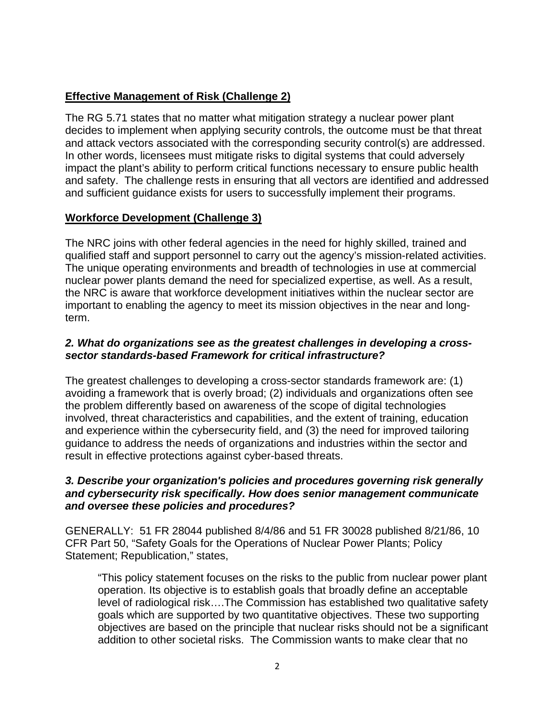# **Effective Management of Risk (Challenge 2)**

The RG 5.71 states that no matter what mitigation strategy a nuclear power plant decides to implement when applying security controls, the outcome must be that threat and attack vectors associated with the corresponding security control(s) are addressed. In other words, licensees must mitigate risks to digital systems that could adversely impact the plant's ability to perform critical functions necessary to ensure public health and safety. The challenge rests in ensuring that all vectors are identified and addressed and sufficient guidance exists for users to successfully implement their programs.

# **Workforce Development (Challenge 3)**

The NRC joins with other federal agencies in the need for highly skilled, trained and qualified staff and support personnel to carry out the agency's mission-related activities. The unique operating environments and breadth of technologies in use at commercial nuclear power plants demand the need for specialized expertise, as well. As a result, the NRC is aware that workforce development initiatives within the nuclear sector are important to enabling the agency to meet its mission objectives in the near and longterm.

### *2. What do organizations see as the greatest challenges in developing a crosssector standards-based Framework for critical infrastructure?*

The greatest challenges to developing a cross-sector standards framework are: (1) avoiding a framework that is overly broad; (2) individuals and organizations often see the problem differently based on awareness of the scope of digital technologies involved, threat characteristics and capabilities, and the extent of training, education and experience within the cybersecurity field, and (3) the need for improved tailoring guidance to address the needs of organizations and industries within the sector and result in effective protections against cyber-based threats.

### *3. Describe your organization's policies and procedures governing risk generally and cybersecurity risk specifically. How does senior management communicate and oversee these policies and procedures?*

GENERALLY: 51 FR 28044 published 8/4/86 and 51 FR 30028 published 8/21/86, 10 CFR Part 50, "Safety Goals for the Operations of Nuclear Power Plants; Policy Statement; Republication," states,

"This policy statement focuses on the risks to the public from nuclear power plant operation. Its objective is to establish goals that broadly define an acceptable level of radiological risk….The Commission has established two qualitative safety goals which are supported by two quantitative objectives. These two supporting objectives are based on the principle that nuclear risks should not be a significant addition to other societal risks. The Commission wants to make clear that no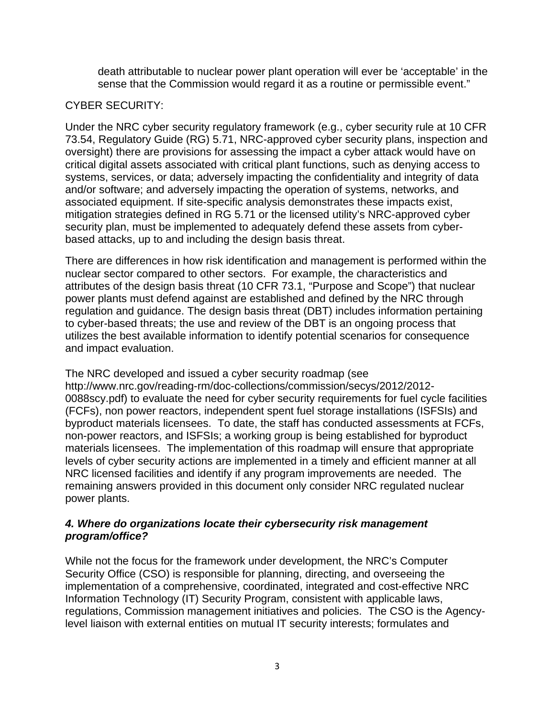death attributable to nuclear power plant operation will ever be 'acceptable' in the sense that the Commission would regard it as a routine or permissible event."

#### CYBER SECURITY:

Under the NRC cyber security regulatory framework (e.g., cyber security rule at 10 CFR 73.54, Regulatory Guide (RG) 5.71, NRC-approved cyber security plans, inspection and oversight) there are provisions for assessing the impact a cyber attack would have on critical digital assets associated with critical plant functions, such as denying access to systems, services, or data; adversely impacting the confidentiality and integrity of data and/or software; and adversely impacting the operation of systems, networks, and associated equipment. If site-specific analysis demonstrates these impacts exist, mitigation strategies defined in RG 5.71 or the licensed utility's NRC-approved cyber security plan, must be implemented to adequately defend these assets from cyberbased attacks, up to and including the design basis threat.

There are differences in how risk identification and management is performed within the nuclear sector compared to other sectors. For example, the characteristics and attributes of the design basis threat (10 CFR 73.1, "Purpose and Scope") that nuclear power plants must defend against are established and defined by the NRC through regulation and guidance. The design basis threat (DBT) includes information pertaining to cyber-based threats; the use and review of the DBT is an ongoing process that utilizes the best available information to identify potential scenarios for consequence and impact evaluation.

#### The NRC developed and issued a cyber security roadmap (see

http://www.nrc.gov/reading-rm/doc-collections/commission/secys/2012/2012- 0088scy.pdf) to evaluate the need for cyber security requirements for fuel cycle facilities (FCFs), non power reactors, independent spent fuel storage installations (ISFSIs) and byproduct materials licensees. To date, the staff has conducted assessments at FCFs, non-power reactors, and ISFSIs; a working group is being established for byproduct materials licensees. The implementation of this roadmap will ensure that appropriate levels of cyber security actions are implemented in a timely and efficient manner at all NRC licensed facilities and identify if any program improvements are needed. The remaining answers provided in this document only consider NRC regulated nuclear power plants.

#### *4. Where do organizations locate their cybersecurity risk management program/office?*

While not the focus for the framework under development, the NRC's Computer Security Office (CSO) is responsible for planning, directing, and overseeing the implementation of a comprehensive, coordinated, integrated and cost-effective NRC Information Technology (IT) Security Program, consistent with applicable laws, regulations, Commission management initiatives and policies. The CSO is the Agencylevel liaison with external entities on mutual IT security interests; formulates and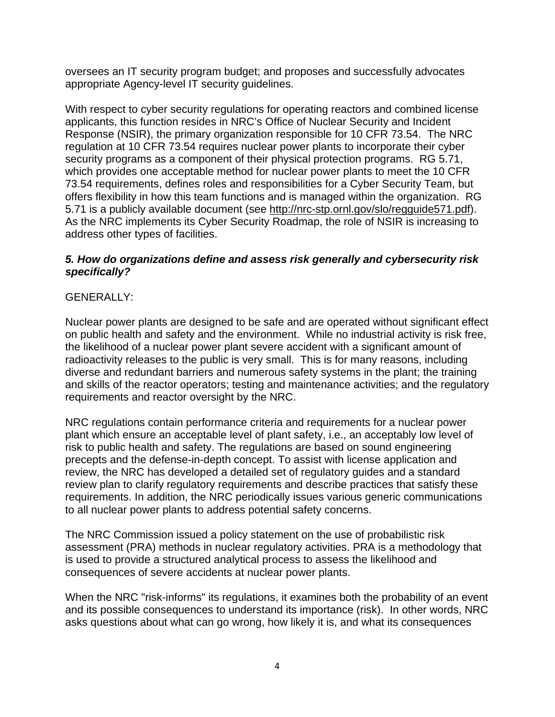oversees an IT security program budget; and proposes and successfully advocates appropriate Agency-level IT security guidelines.

With respect to cyber security regulations for operating reactors and combined license applicants, this function resides in NRC's Office of Nuclear Security and Incident Response (NSIR), the primary organization responsible for 10 CFR 73.54. The NRC regulation at 10 CFR 73.54 requires nuclear power plants to incorporate their cyber security programs as a component of their physical protection programs. RG 5.71, which provides one acceptable method for nuclear power plants to meet the 10 CFR 73.54 requirements, defines roles and responsibilities for a Cyber Security Team, but offers flexibility in how this team functions and is managed within the organization. RG 5.71 is a publicly available document (see [http://nrc-stp.ornl.gov/slo/regguide571.pdf\)](http://nrc-stp.ornl.gov/slo/regguide571.pdf). As the NRC implements its Cyber Security Roadmap, the role of NSIR is increasing to address other types of facilities.

## *5. How do organizations define and assess risk generally and cybersecurity risk specifically?*

# GENERALLY:

Nuclear power plants are designed to be safe and are operated without significant effect on public health and safety and the environment. While no industrial activity is risk free, the likelihood of a nuclear power plant severe accident with a significant amount of radioactivity releases to the public is very small. This is for many reasons, including diverse and redundant barriers and numerous safety systems in the plant; the training and skills of the reactor operators; testing and maintenance activities; and the regulatory requirements and reactor oversight by the NRC.

NRC regulations contain performance criteria and requirements for a nuclear power plant which ensure an acceptable level of plant safety, i.e., an acceptably low level of risk to public health and safety. The regulations are based on sound engineering precepts and the defense-in-depth concept. To assist with license application and review, the NRC has developed a detailed set of regulatory guides and a standard review plan to clarify regulatory requirements and describe practices that satisfy these requirements. In addition, the NRC periodically issues various generic communications to all nuclear power plants to address potential safety concerns.

The NRC Commission issued a policy statement on the use of probabilistic risk assessment (PRA) methods in nuclear regulatory activities. PRA is a methodology that is used to provide a structured analytical process to assess the likelihood and consequences of severe accidents at nuclear power plants.

When the NRC "risk-informs" its regulations, it examines both the probability of an event and its possible consequences to understand its importance (risk). In other words, NRC asks questions about what can go wrong, how likely it is, and what its consequences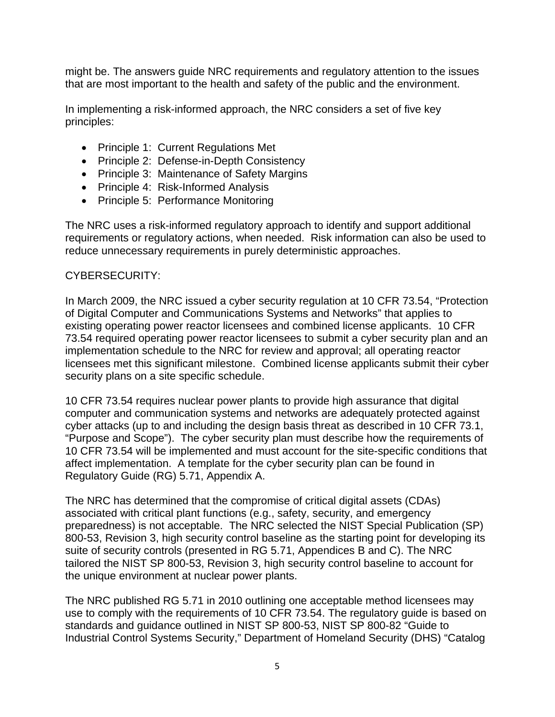might be. The answers guide NRC requirements and regulatory attention to the issues that are most important to the health and safety of the public and the environment.

In implementing a risk-informed approach, the NRC considers a set of five key principles:

- Principle 1: Current Regulations Met
- Principle 2: Defense-in-Depth Consistency
- Principle 3: Maintenance of Safety Margins
- Principle 4: Risk-Informed Analysis
- Principle 5: Performance Monitoring

The NRC uses a risk-informed regulatory approach to identify and support additional requirements or regulatory actions, when needed. Risk information can also be used to reduce unnecessary requirements in purely deterministic approaches.

#### CYBERSECURITY:

In March 2009, the NRC issued a cyber security regulation at 10 CFR 73.54, "Protection of Digital Computer and Communications Systems and Networks" that applies to existing operating power reactor licensees and combined license applicants. 10 CFR 73.54 required operating power reactor licensees to submit a cyber security plan and an implementation schedule to the NRC for review and approval; all operating reactor licensees met this significant milestone. Combined license applicants submit their cyber security plans on a site specific schedule.

10 CFR 73.54 requires nuclear power plants to provide high assurance that digital computer and communication systems and networks are adequately protected against cyber attacks (up to and including the design basis threat as described in 10 CFR 73.1, "Purpose and Scope"). The cyber security plan must describe how the requirements of 10 CFR 73.54 will be implemented and must account for the site-specific conditions that affect implementation. A template for the cyber security plan can be found in Regulatory Guide (RG) 5.71, Appendix A.

The NRC has determined that the compromise of critical digital assets (CDAs) associated with critical plant functions (e.g., safety, security, and emergency preparedness) is not acceptable. The NRC selected the NIST Special Publication (SP) 800-53, Revision 3, high security control baseline as the starting point for developing its suite of security controls (presented in RG 5.71, Appendices B and C). The NRC tailored the NIST SP 800-53, Revision 3, high security control baseline to account for the unique environment at nuclear power plants.

The NRC published RG 5.71 in 2010 outlining one acceptable method licensees may use to comply with the requirements of 10 CFR 73.54. The regulatory guide is based on standards and guidance outlined in NIST SP 800-53, NIST SP 800-82 "Guide to Industrial Control Systems Security," Department of Homeland Security (DHS) "Catalog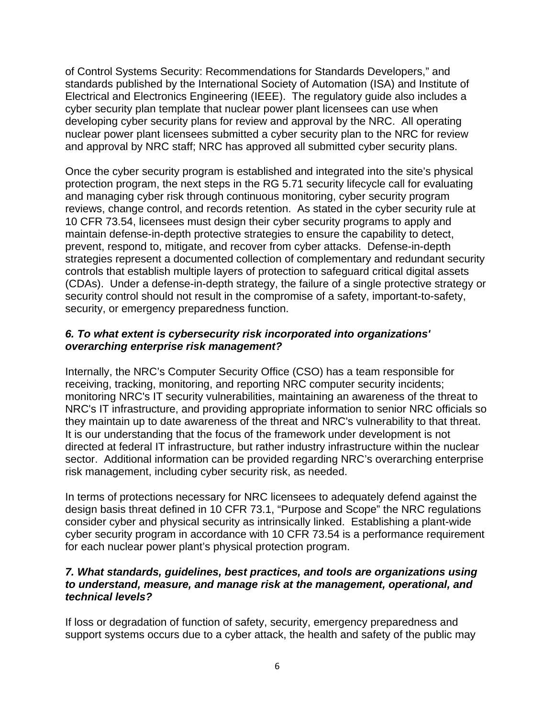of Control Systems Security: Recommendations for Standards Developers," and standards published by the International Society of Automation (ISA) and Institute of Electrical and Electronics Engineering (IEEE). The regulatory guide also includes a cyber security plan template that nuclear power plant licensees can use when developing cyber security plans for review and approval by the NRC. All operating nuclear power plant licensees submitted a cyber security plan to the NRC for review and approval by NRC staff; NRC has approved all submitted cyber security plans.

Once the cyber security program is established and integrated into the site's physical protection program, the next steps in the RG 5.71 security lifecycle call for evaluating and managing cyber risk through continuous monitoring, cyber security program reviews, change control, and records retention. As stated in the cyber security rule at 10 CFR 73.54, licensees must design their cyber security programs to apply and maintain defense-in-depth protective strategies to ensure the capability to detect, prevent, respond to, mitigate, and recover from cyber attacks. Defense-in-depth strategies represent a documented collection of complementary and redundant security controls that establish multiple layers of protection to safeguard critical digital assets (CDAs). Under a defense-in-depth strategy, the failure of a single protective strategy or security control should not result in the compromise of a safety, important-to-safety, security, or emergency preparedness function.

#### *6. To what extent is cybersecurity risk incorporated into organizations' overarching enterprise risk management?*

Internally, the NRC's Computer Security Office (CSO) has a team responsible for receiving, tracking, monitoring, and reporting NRC computer security incidents; monitoring NRC's IT security vulnerabilities, maintaining an awareness of the threat to NRC's IT infrastructure, and providing appropriate information to senior NRC officials so they maintain up to date awareness of the threat and NRC's vulnerability to that threat. It is our understanding that the focus of the framework under development is not directed at federal IT infrastructure, but rather industry infrastructure within the nuclear sector. Additional information can be provided regarding NRC's overarching enterprise risk management, including cyber security risk, as needed.

In terms of protections necessary for NRC licensees to adequately defend against the design basis threat defined in 10 CFR 73.1, "Purpose and Scope" the NRC regulations consider cyber and physical security as intrinsically linked. Establishing a plant-wide cyber security program in accordance with 10 CFR 73.54 is a performance requirement for each nuclear power plant's physical protection program.

### *7. What standards, guidelines, best practices, and tools are organizations using to understand, measure, and manage risk at the management, operational, and technical levels?*

If loss or degradation of function of safety, security, emergency preparedness and support systems occurs due to a cyber attack, the health and safety of the public may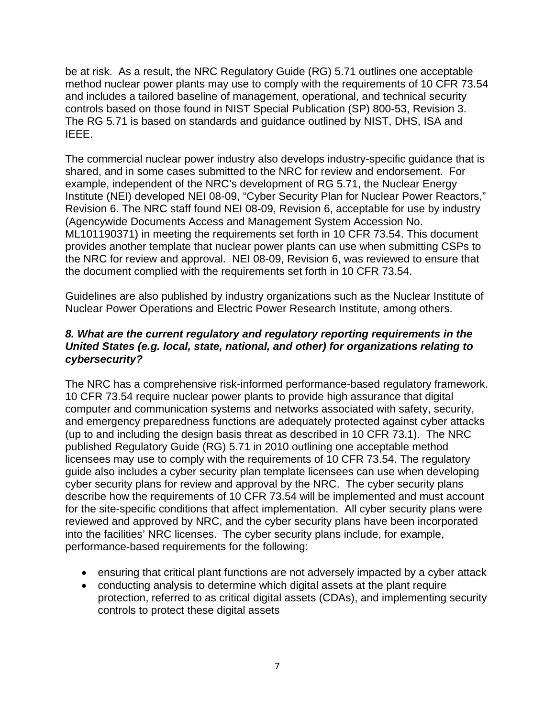be at risk. As a result, the NRC Regulatory Guide (RG) 5.71 outlines one acceptable method nuclear power plants may use to comply with the requirements of 10 CFR 73.54 and includes a tailored baseline of management, operational, and technical security controls based on those found in NIST Special Publication (SP) 800-53, Revision 3. The RG 5.71 is based on standards and guidance outlined by NIST, DHS, ISA and IEEE.

The commercial nuclear power industry also develops industry-specific guidance that is shared, and in some cases submitted to the NRC for review and endorsement. For example, independent of the NRC's development of RG 5.71, the Nuclear Energy Institute (NEI) developed NEI 08-09, "Cyber Security Plan for Nuclear Power Reactors," Revision 6. The NRC staff found NEI 08-09, Revision 6, acceptable for use by industry (Agencywide Documents Access and Management System Accession No. ML101190371) in meeting the requirements set forth in 10 CFR 73.54. This document provides another template that nuclear power plants can use when submitting CSPs to the NRC for review and approval. NEI 08-09, Revision 6, was reviewed to ensure that the document complied with the requirements set forth in 10 CFR 73.54.

Guidelines are also published by industry organizations such as the Nuclear Institute of Nuclear Power Operations and Electric Power Research Institute, among others.

#### *8. What are the current regulatory and regulatory reporting requirements in the United States (e.g. local, state, national, and other) for organizations relating to cybersecurity?*

The NRC has a comprehensive risk-informed performance-based regulatory framework. 10 CFR 73.54 require nuclear power plants to provide high assurance that digital computer and communication systems and networks associated with safety, security, and emergency preparedness functions are adequately protected against cyber attacks (up to and including the design basis threat as described in 10 CFR 73.1). The NRC published Regulatory Guide (RG) 5.71 in 2010 outlining one acceptable method licensees may use to comply with the requirements of 10 CFR 73.54. The regulatory guide also includes a cyber security plan template licensees can use when developing cyber security plans for review and approval by the NRC. The cyber security plans describe how the requirements of 10 CFR 73.54 will be implemented and must account for the site-specific conditions that affect implementation. All cyber security plans were reviewed and approved by NRC, and the cyber security plans have been incorporated into the facilities' NRC licenses. The cyber security plans include, for example, performance-based requirements for the following:

- ensuring that critical plant functions are not adversely impacted by a cyber attack
- conducting analysis to determine which digital assets at the plant require protection, referred to as critical digital assets (CDAs), and implementing security controls to protect these digital assets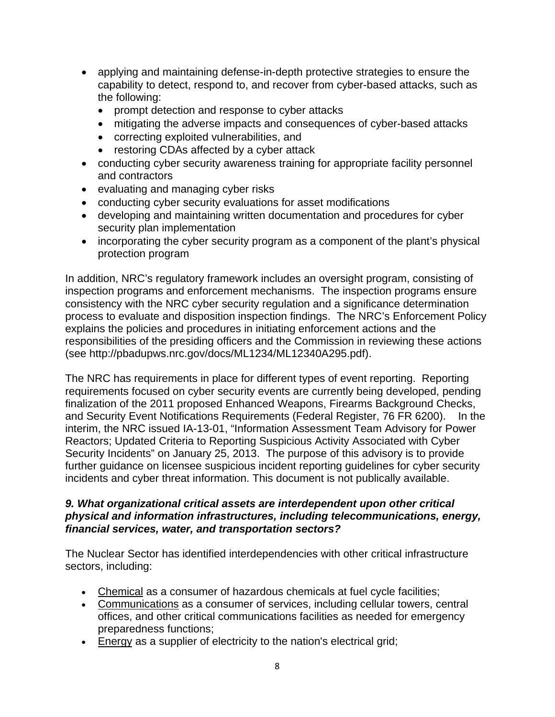- applying and maintaining defense-in-depth protective strategies to ensure the capability to detect, respond to, and recover from cyber-based attacks, such as the following:
	- prompt detection and response to cyber attacks
	- mitigating the adverse impacts and consequences of cyber-based attacks
	- correcting exploited vulnerabilities, and
	- restoring CDAs affected by a cyber attack
- conducting cyber security awareness training for appropriate facility personnel and contractors
- evaluating and managing cyber risks
- conducting cyber security evaluations for asset modifications
- developing and maintaining written documentation and procedures for cyber security plan implementation
- incorporating the cyber security program as a component of the plant's physical protection program

In addition, NRC's regulatory framework includes an oversight program, consisting of inspection programs and enforcement mechanisms. The inspection programs ensure consistency with the NRC cyber security regulation and a significance determination process to evaluate and disposition inspection findings. The NRC's Enforcement Policy explains the policies and procedures in initiating enforcement actions and the responsibilities of the presiding officers and the Commission in reviewing these actions (see http://pbadupws.nrc.gov/docs/ML1234/ML12340A295.pdf).

The NRC has requirements in place for different types of event reporting. Reporting requirements focused on cyber security events are currently being developed, pending finalization of the 2011 proposed Enhanced Weapons, Firearms Background Checks, and Security Event Notifications Requirements (Federal Register, 76 FR 6200). In the interim, the NRC issued IA-13-01, "Information Assessment Team Advisory for Power Reactors; Updated Criteria to Reporting Suspicious Activity Associated with Cyber Security Incidents" on January 25, 2013. The purpose of this advisory is to provide further guidance on licensee suspicious incident reporting guidelines for cyber security incidents and cyber threat information. This document is not publically available.

#### *9. What organizational critical assets are interdependent upon other critical physical and information infrastructures, including telecommunications, energy, financial services, water, and transportation sectors?*

The Nuclear Sector has identified interdependencies with other critical infrastructure sectors, including:

- [Chemical](http://www.dhs.gov/chemical-sector) as a consumer of hazardous chemicals at fuel cycle facilities;
- Communications as a consumer of services, including cellular towers, central offices, and other critical communications facilities as needed for emergency preparedness functions;
- [Energy](http://www.dhs.gov/energy-sector) as a supplier of electricity to the nation's electrical grid;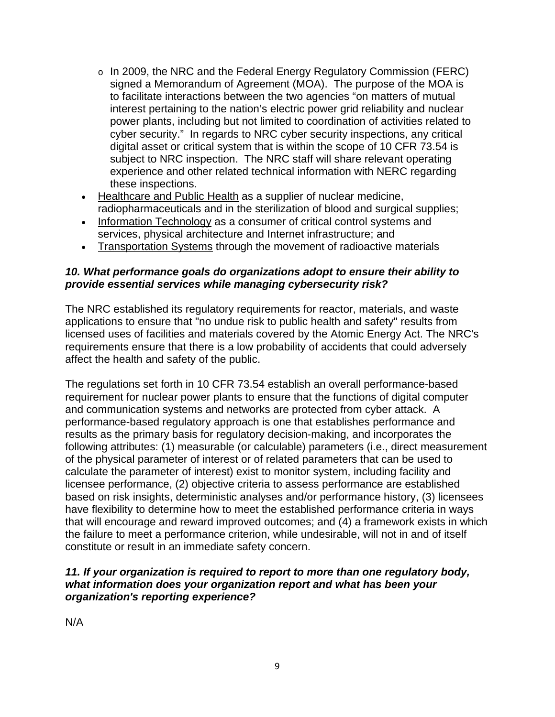- o In 2009, the NRC and the Federal Energy Regulatory Commission (FERC) signed a Memorandum of Agreement (MOA). The purpose of the MOA is to facilitate interactions between the two agencies "on matters of mutual interest pertaining to the nation's electric power grid reliability and nuclear power plants, including but not limited to coordination of activities related to cyber security." In regards to NRC cyber security inspections, any critical digital asset or critical system that is within the scope of 10 CFR 73.54 is subject to NRC inspection. The NRC staff will share relevant operating experience and other related technical information with NERC regarding these inspections.
- [Healthcare and Public Health](http://www.dhs.gov/healthcare-and-public-health-sector) as a supplier of nuclear medicine, radiopharmaceuticals and in the sterilization of blood and surgical supplies;
- [Information Technology](http://www.dhs.gov/information-technology-sector) as a consumer of critical control systems and services, physical architecture and Internet infrastructure; and
- [Transportation Systems](http://www.dhs.gov/transportation-systems-sector) through the movement of radioactive materials

### *10. What performance goals do organizations adopt to ensure their ability to provide essential services while managing cybersecurity risk?*

The NRC established its regulatory requirements for reactor, materials, and waste applications to ensure that "no undue risk to public health and safety" results from licensed uses of facilities and materials covered by the [Atomic Energy Act.](http://www.nrc.gov/about-nrc/governing-laws.html%23aea-1954) The NRC's requirements ensure that there is a low probability of accidents that could adversely affect the health and safety of the public.

The regulations set forth in 10 CFR 73.54 establish an overall performance-based requirement for nuclear power plants to ensure that the functions of digital computer and communication systems and networks are protected from cyber attack. A performance-based regulatory approach is one that establishes performance and results as the primary basis for regulatory decision-making, and incorporates the following attributes: (1) measurable (or calculable) parameters (i.e., direct measurement of the physical parameter of interest or of related parameters that can be used to calculate the parameter of interest) exist to monitor system, including facility and licensee performance, (2) objective criteria to assess performance are established based on risk insights, deterministic analyses and/or performance history, (3) licensees have flexibility to determine how to meet the established performance criteria in ways that will encourage and reward improved outcomes; and (4) a framework exists in which the failure to meet a performance criterion, while undesirable, will not in and of itself constitute or result in an immediate safety concern.

### *11. If your organization is required to report to more than one regulatory body, what information does your organization report and what has been your organization's reporting experience?*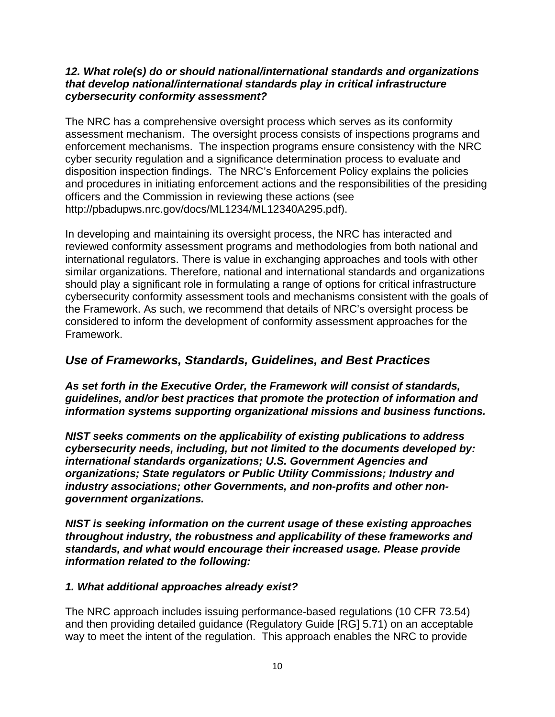#### *12. What role(s) do or should national/international standards and organizations that develop national/international standards play in critical infrastructure cybersecurity conformity assessment?*

The NRC has a comprehensive oversight process which serves as its conformity assessment mechanism. The oversight process consists of inspections programs and enforcement mechanisms. The inspection programs ensure consistency with the NRC cyber security regulation and a significance determination process to evaluate and disposition inspection findings. The NRC's Enforcement Policy explains the policies and procedures in initiating enforcement actions and the responsibilities of the presiding officers and the Commission in reviewing these actions (see http://pbadupws.nrc.gov/docs/ML1234/ML12340A295.pdf).

In developing and maintaining its oversight process, the NRC has interacted and reviewed conformity assessment programs and methodologies from both national and international regulators. There is value in exchanging approaches and tools with other similar organizations. Therefore, national and international standards and organizations should play a significant role in formulating a range of options for critical infrastructure cybersecurity conformity assessment tools and mechanisms consistent with the goals of the Framework. As such, we recommend that details of NRC's oversight process be considered to inform the development of conformity assessment approaches for the Framework.

# *Use of Frameworks, Standards, Guidelines, and Best Practices*

*As set forth in the Executive Order, the Framework will consist of standards, guidelines, and/or best practices that promote the protection of information and information systems supporting organizational missions and business functions.*

*NIST seeks comments on the applicability of existing publications to address cybersecurity needs, including, but not limited to the documents developed by: international standards organizations; U.S. Government Agencies and organizations; State regulators or Public Utility Commissions; Industry and industry associations; other Governments, and non-profits and other nongovernment organizations.*

*NIST is seeking information on the current usage of these existing approaches throughout industry, the robustness and applicability of these frameworks and standards, and what would encourage their increased usage. Please provide information related to the following:*

# *1. What additional approaches already exist?*

The NRC approach includes issuing performance-based regulations (10 CFR 73.54) and then providing detailed guidance (Regulatory Guide [RG] 5.71) on an acceptable way to meet the intent of the regulation. This approach enables the NRC to provide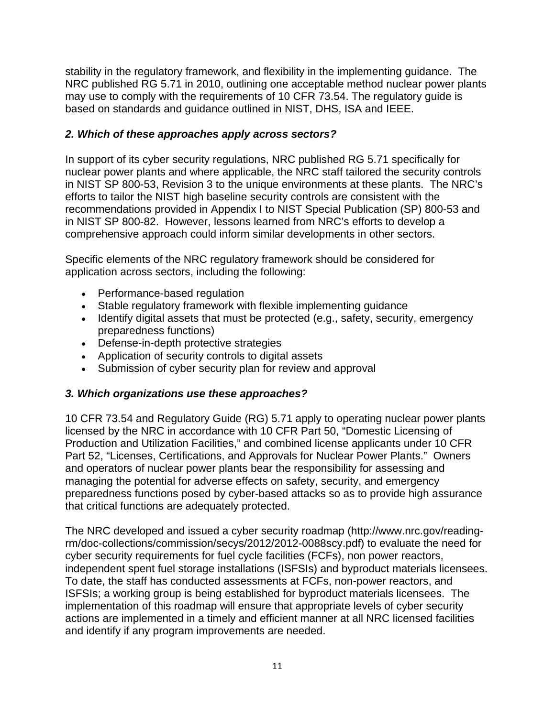stability in the regulatory framework, and flexibility in the implementing guidance. The NRC published RG 5.71 in 2010, outlining one acceptable method nuclear power plants may use to comply with the requirements of 10 CFR 73.54. The regulatory guide is based on standards and guidance outlined in NIST, DHS, ISA and IEEE.

# *2. Which of these approaches apply across sectors?*

In support of its cyber security regulations, NRC published RG 5.71 specifically for nuclear power plants and where applicable, the NRC staff tailored the security controls in NIST SP 800-53, Revision 3 to the unique environments at these plants. The NRC's efforts to tailor the NIST high baseline security controls are consistent with the recommendations provided in Appendix I to NIST Special Publication (SP) 800-53 and in NIST SP 800-82. However, lessons learned from NRC's efforts to develop a comprehensive approach could inform similar developments in other sectors.

Specific elements of the NRC regulatory framework should be considered for application across sectors, including the following:

- Performance-based regulation
- Stable regulatory framework with flexible implementing guidance
- Identify digital assets that must be protected (e.g., safety, security, emergency preparedness functions)
- Defense-in-depth protective strategies
- Application of security controls to digital assets
- Submission of cyber security plan for review and approval

# *3. Which organizations use these approaches?*

10 CFR 73.54 and Regulatory Guide (RG) 5.71 apply to operating nuclear power plants licensed by the NRC in accordance with 10 CFR Part 50, "Domestic Licensing of Production and Utilization Facilities," and combined license applicants under 10 CFR Part 52, "Licenses, Certifications, and Approvals for Nuclear Power Plants." Owners and operators of nuclear power plants bear the responsibility for assessing and managing the potential for adverse effects on safety, security, and emergency preparedness functions posed by cyber-based attacks so as to provide high assurance that critical functions are adequately protected.

The NRC developed and issued a cyber security roadmap (http://www.nrc.gov/readingrm/doc-collections/commission/secys/2012/2012-0088scy.pdf) to evaluate the need for cyber security requirements for fuel cycle facilities (FCFs), non power reactors, independent spent fuel storage installations (ISFSIs) and byproduct materials licensees. To date, the staff has conducted assessments at FCFs, non-power reactors, and ISFSIs; a working group is being established for byproduct materials licensees. The implementation of this roadmap will ensure that appropriate levels of cyber security actions are implemented in a timely and efficient manner at all NRC licensed facilities and identify if any program improvements are needed.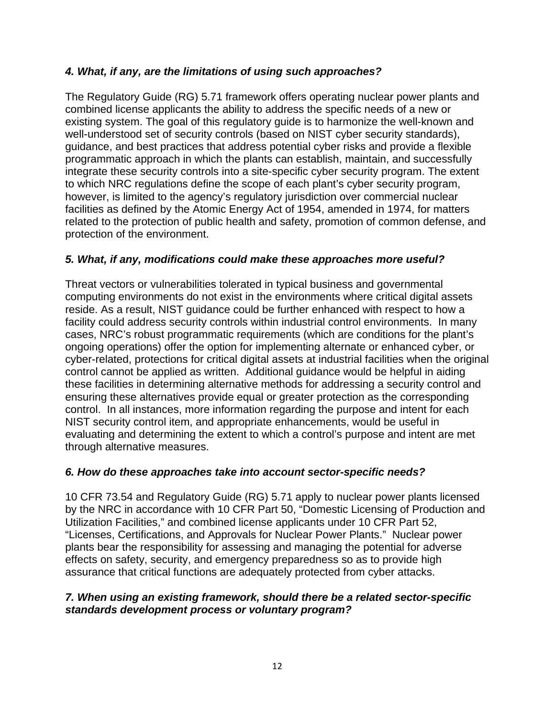## *4. What, if any, are the limitations of using such approaches?*

The Regulatory Guide (RG) 5.71 framework offers operating nuclear power plants and combined license applicants the ability to address the specific needs of a new or existing system. The goal of this regulatory guide is to harmonize the well-known and well-understood set of security controls (based on NIST cyber security standards), guidance, and best practices that address potential cyber risks and provide a flexible programmatic approach in which the plants can establish, maintain, and successfully integrate these security controls into a site-specific cyber security program. The extent to which NRC regulations define the scope of each plant's cyber security program, however, is limited to the agency's regulatory jurisdiction over commercial nuclear facilities as defined by the Atomic Energy Act of 1954, amended in 1974, for matters related to the protection of public health and safety, promotion of common defense, and protection of the environment.

### *5. What, if any, modifications could make these approaches more useful?*

Threat vectors or vulnerabilities tolerated in typical business and governmental computing environments do not exist in the environments where critical digital assets reside. As a result, NIST guidance could be further enhanced with respect to how a facility could address security controls within industrial control environments. In many cases, NRC's robust programmatic requirements (which are conditions for the plant's ongoing operations) offer the option for implementing alternate or enhanced cyber, or cyber-related, protections for critical digital assets at industrial facilities when the original control cannot be applied as written. Additional guidance would be helpful in aiding these facilities in determining alternative methods for addressing a security control and ensuring these alternatives provide equal or greater protection as the corresponding control. In all instances, more information regarding the purpose and intent for each NIST security control item, and appropriate enhancements, would be useful in evaluating and determining the extent to which a control's purpose and intent are met through alternative measures.

#### *6. How do these approaches take into account sector-specific needs?*

10 CFR 73.54 and Regulatory Guide (RG) 5.71 apply to nuclear power plants licensed by the NRC in accordance with 10 CFR Part 50, "Domestic Licensing of Production and Utilization Facilities," and combined license applicants under 10 CFR Part 52, "Licenses, Certifications, and Approvals for Nuclear Power Plants." Nuclear power plants bear the responsibility for assessing and managing the potential for adverse effects on safety, security, and emergency preparedness so as to provide high assurance that critical functions are adequately protected from cyber attacks.

#### *7. When using an existing framework, should there be a related sector-specific standards development process or voluntary program?*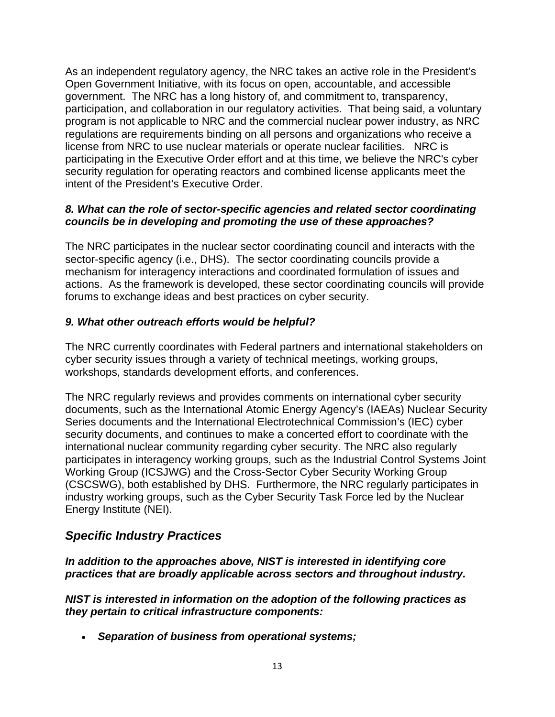As an independent regulatory agency, the NRC takes an active role in the President's [Open Government Initiative,](http://www.whitehouse.gov/open/about) with its focus on open, accountable, and accessible government. The NRC has a long history of, and commitment to, transparency, participation, and collaboration in our regulatory activities. That being said, a voluntary program is not applicable to NRC and the commercial nuclear power industry, as NRC regulations are requirements binding on all persons and organizations who receive a license from NRC to use nuclear materials or operate nuclear facilities. NRC is participating in the Executive Order effort and at this time, we believe the NRC's cyber security regulation for operating reactors and combined license applicants meet the intent of the President's Executive Order.

#### *8. What can the role of sector-specific agencies and related sector coordinating councils be in developing and promoting the use of these approaches?*

The NRC participates in the nuclear sector coordinating council and interacts with the sector-specific agency (i.e., DHS). The sector coordinating councils provide a mechanism for interagency interactions and coordinated formulation of issues and actions. As the framework is developed, these sector coordinating councils will provide forums to exchange ideas and best practices on cyber security.

# *9. What other outreach efforts would be helpful?*

The NRC currently coordinates with Federal partners and international stakeholders on cyber security issues through a variety of technical meetings, working groups, workshops, standards development efforts, and conferences.

The NRC regularly reviews and provides comments on international cyber security documents, such as the International Atomic Energy Agency's (IAEAs) Nuclear Security Series documents and the International Electrotechnical Commission's (IEC) cyber security documents, and continues to make a concerted effort to coordinate with the international nuclear community regarding cyber security. The NRC also regularly participates in interagency working groups, such as the Industrial Control Systems Joint Working Group (ICSJWG) and the Cross-Sector Cyber Security Working Group (CSCSWG), both established by DHS. Furthermore, the NRC regularly participates in industry working groups, such as the Cyber Security Task Force led by the Nuclear Energy Institute (NEI).

# *Specific Industry Practices*

# *In addition to the approaches above, NIST is interested in identifying core practices that are broadly applicable across sectors and throughout industry.*

*NIST is interested in information on the adoption of the following practices as they pertain to critical infrastructure components:*

• *Separation of business from operational systems;*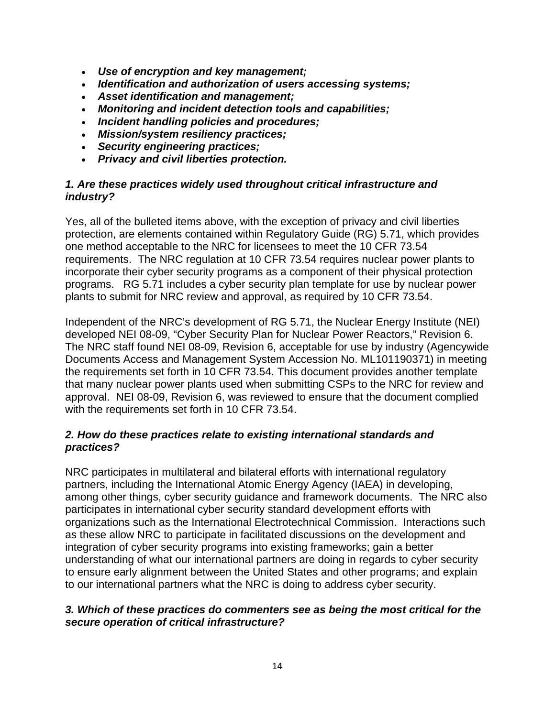- *Use of encryption and key management;*
- *Identification and authorization of users accessing systems;*
- *Asset identification and management;*
- *Monitoring and incident detection tools and capabilities;*
- *Incident handling policies and procedures;*
- *Mission/system resiliency practices;*
- *Security engineering practices;*
- *Privacy and civil liberties protection.*

#### *1. Are these practices widely used throughout critical infrastructure and industry?*

Yes, all of the bulleted items above, with the exception of privacy and civil liberties protection, are elements contained within Regulatory Guide (RG) 5.71, which provides one method acceptable to the NRC for licensees to meet the 10 CFR 73.54 requirements. The NRC regulation at 10 CFR 73.54 requires nuclear power plants to incorporate their cyber security programs as a component of their physical protection programs. RG 5.71 includes a cyber security plan template for use by nuclear power plants to submit for NRC review and approval, as required by 10 CFR 73.54.

Independent of the NRC's development of RG 5.71, the Nuclear Energy Institute (NEI) developed NEI 08-09, "Cyber Security Plan for Nuclear Power Reactors," Revision 6. The NRC staff found NEI 08-09, Revision 6, acceptable for use by industry (Agencywide Documents Access and Management System Accession No. ML101190371) in meeting the requirements set forth in 10 CFR 73.54. This document provides another template that many nuclear power plants used when submitting CSPs to the NRC for review and approval. NEI 08-09, Revision 6, was reviewed to ensure that the document complied with the requirements set forth in 10 CFR 73.54.

### *2. How do these practices relate to existing international standards and practices?*

NRC participates in multilateral and bilateral efforts with international regulatory partners, including the International Atomic Energy Agency (IAEA) in developing, among other things, cyber security guidance and framework documents. The NRC also participates in international cyber security standard development efforts with organizations such as the International Electrotechnical Commission. Interactions such as these allow NRC to participate in facilitated discussions on the development and integration of cyber security programs into existing frameworks; gain a better understanding of what our international partners are doing in regards to cyber security to ensure early alignment between the United States and other programs; and explain to our international partners what the NRC is doing to address cyber security.

#### *3. Which of these practices do commenters see as being the most critical for the secure operation of critical infrastructure?*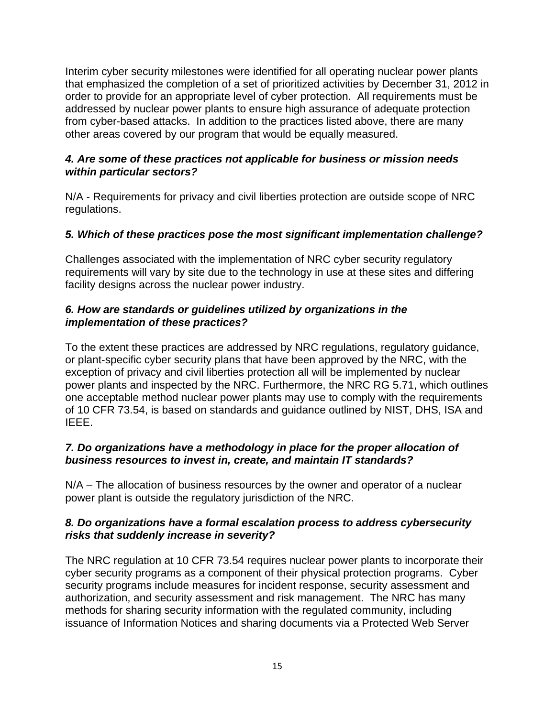Interim cyber security milestones were identified for all operating nuclear power plants that emphasized the completion of a set of prioritized activities by December 31, 2012 in order to provide for an appropriate level of cyber protection. All requirements must be addressed by nuclear power plants to ensure high assurance of adequate protection from cyber-based attacks. In addition to the practices listed above, there are many other areas covered by our program that would be equally measured.

#### *4. Are some of these practices not applicable for business or mission needs within particular sectors?*

N/A - Requirements for privacy and civil liberties protection are outside scope of NRC regulations.

# *5. Which of these practices pose the most significant implementation challenge?*

Challenges associated with the implementation of NRC cyber security regulatory requirements will vary by site due to the technology in use at these sites and differing facility designs across the nuclear power industry.

## *6. How are standards or guidelines utilized by organizations in the implementation of these practices?*

To the extent these practices are addressed by NRC regulations, regulatory guidance, or plant-specific cyber security plans that have been approved by the NRC, with the exception of privacy and civil liberties protection all will be implemented by nuclear power plants and inspected by the NRC. Furthermore, the NRC RG 5.71, which outlines one acceptable method nuclear power plants may use to comply with the requirements of 10 CFR 73.54, is based on standards and guidance outlined by NIST, DHS, ISA and IEEE.

# *7. Do organizations have a methodology in place for the proper allocation of business resources to invest in, create, and maintain IT standards?*

N/A – The allocation of business resources by the owner and operator of a nuclear power plant is outside the regulatory jurisdiction of the NRC.

### *8. Do organizations have a formal escalation process to address cybersecurity risks that suddenly increase in severity?*

The NRC regulation at 10 CFR 73.54 requires nuclear power plants to incorporate their cyber security programs as a component of their physical protection programs. Cyber security programs include measures for incident response, security assessment and authorization, and security assessment and risk management. The NRC has many methods for sharing security information with the regulated community, including issuance of Information Notices and sharing documents via a Protected Web Server